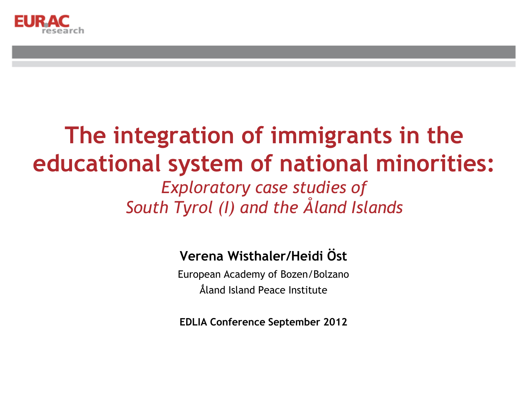

#### **The integration of immigrants in the educational system of national minorities:** *Exploratory case studies of South Tyrol (I) and the Åland Islands*

#### **Verena Wisthaler/Heidi Öst**

European Academy of Bozen/Bolzano Ǻland Island Peace Institute

**EDLIA Conference September 2012**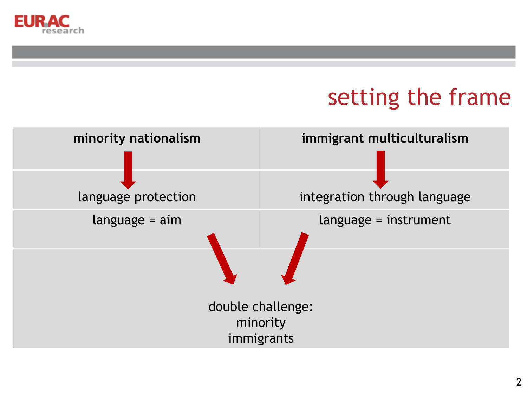

### setting the frame

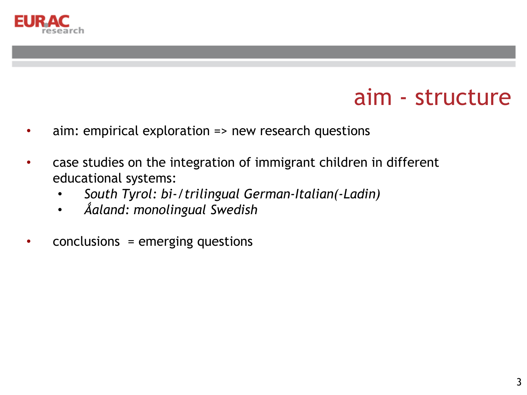

#### aim - structure

- aim: empirical exploration => new research questions
- case studies on the integration of immigrant children in different educational systems:
	- *South Tyrol: bi-/trilingual German-Italian(-Ladin)*
	- *Ǻaland: monolingual Swedish*
- $conclusions = emerging questions$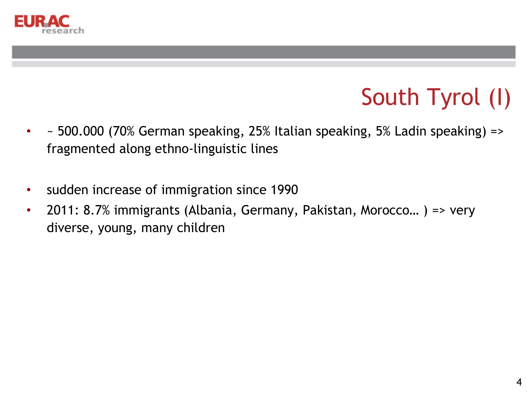

## South Tyrol (I)

- ~ 500.000 (70% German speaking, 25% Italian speaking, 5% Ladin speaking) => fragmented along ethno-linguistic lines
- sudden increase of immigration since 1990
- 2011: 8.7% immigrants (Albania, Germany, Pakistan, Morocco… ) => very diverse, young, many children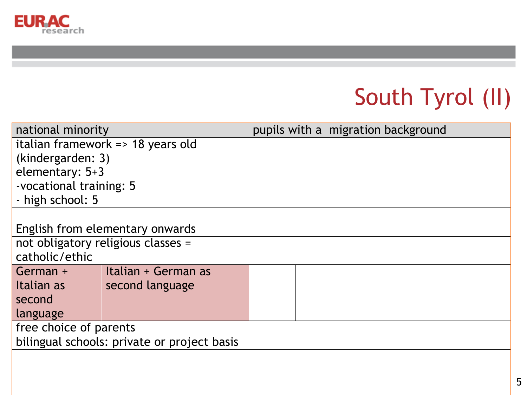

# South Tyrol (II)

| national minority                           |                     |  | pupils with a migration background |
|---------------------------------------------|---------------------|--|------------------------------------|
| italian framework => 18 years old           |                     |  |                                    |
| (kindergarden: 3)                           |                     |  |                                    |
| elementary: 5+3                             |                     |  |                                    |
| -vocational training: 5                     |                     |  |                                    |
| - high school: 5                            |                     |  |                                    |
|                                             |                     |  |                                    |
| English from elementary onwards             |                     |  |                                    |
| not obligatory religious classes =          |                     |  |                                    |
| catholic/ethic                              |                     |  |                                    |
| German +                                    | Italian + German as |  |                                    |
| Italian as                                  | second language     |  |                                    |
| second                                      |                     |  |                                    |
| language                                    |                     |  |                                    |
| free choice of parents                      |                     |  |                                    |
| bilingual schools: private or project basis |                     |  |                                    |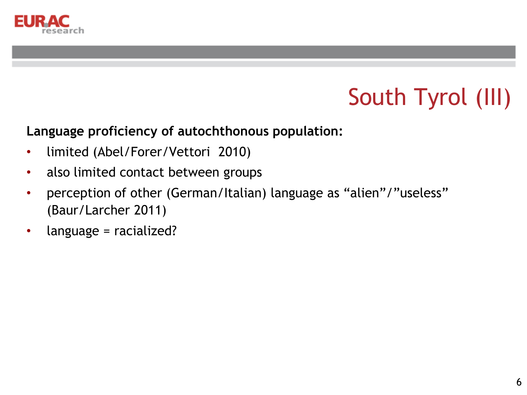

## South Tyrol (III)

#### **Language proficiency of autochthonous population:**

- limited (Abel/Forer/Vettori 2010)
- also limited contact between groups
- perception of other (German/Italian) language as "alien"/"useless" (Baur/Larcher 2011)
- language = racialized?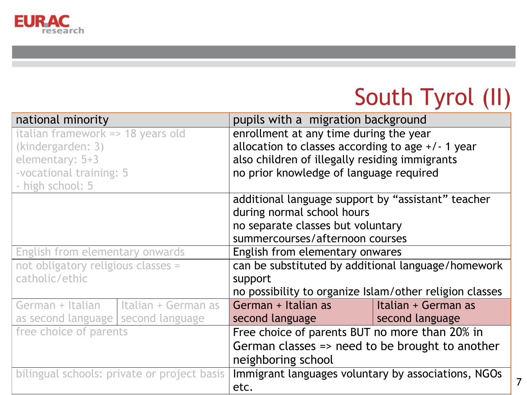

### South Tyrol (II)

7

| national minority                    |                                             | pupils with a migration background                      |                     |  |  |
|--------------------------------------|---------------------------------------------|---------------------------------------------------------|---------------------|--|--|
| italian framework => 18 years old    |                                             | enrollment at any time during the year                  |                     |  |  |
| (kindergarden: 3)                    |                                             | allocation to classes according to age $+/-1$ year      |                     |  |  |
| elementary: 5+3                      |                                             | also children of illegally residing immigrants          |                     |  |  |
| -vocational training: 5              |                                             | no prior knowledge of language required                 |                     |  |  |
| - high school: 5                     |                                             |                                                         |                     |  |  |
|                                      |                                             | additional language support by "assistant" teacher      |                     |  |  |
|                                      |                                             | during normal school hours                              |                     |  |  |
|                                      |                                             | no separate classes but voluntary                       |                     |  |  |
|                                      |                                             | summercourses/afternoon courses                         |                     |  |  |
| English from elementary onwards      |                                             | English from elementary onwares                         |                     |  |  |
| not obligatory religious classes =   |                                             | can be substituted by additional language/homework      |                     |  |  |
| catholic/ethic                       |                                             | support                                                 |                     |  |  |
|                                      |                                             | no possibility to organize Islam/other religion classes |                     |  |  |
| German + Italian                     | Italian + German as                         | German + Italian as                                     | Italian + German as |  |  |
| as second language   second language |                                             | second language and the second language                 | second language     |  |  |
| free choice of parents               |                                             | Free choice of parents BUT no more than 20% in          |                     |  |  |
|                                      |                                             | German classes => need to be brought to another         |                     |  |  |
|                                      |                                             | neighboring school                                      |                     |  |  |
|                                      | bilingual schools: private or project basis | Immigrant languages voluntary by associations, NGOs     |                     |  |  |
|                                      |                                             | etc.                                                    |                     |  |  |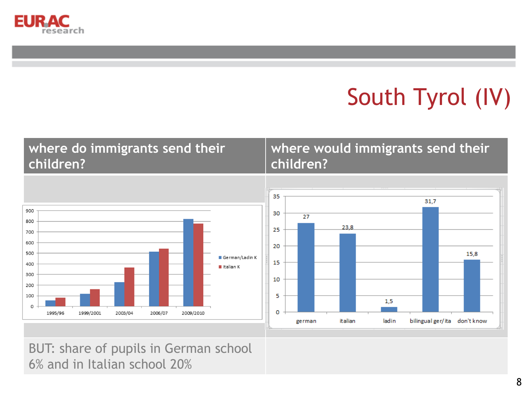

# South Tyrol (IV)

#### **where do immigrants send their children?**

#### **where would immigrants send their children?**





BUT: share of pupils in German school 6% and in Italian school 20%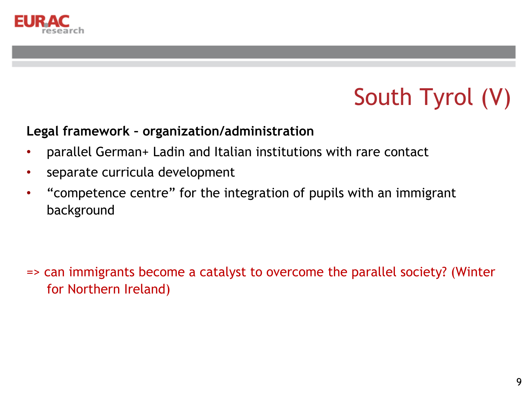

# South Tyrol (V)

#### **Legal framework – organization/administration**

- parallel German+ Ladin and Italian institutions with rare contact
- separate curricula development
- "competence centre" for the integration of pupils with an immigrant background

=> can immigrants become a catalyst to overcome the parallel society? (Winter for Northern Ireland)